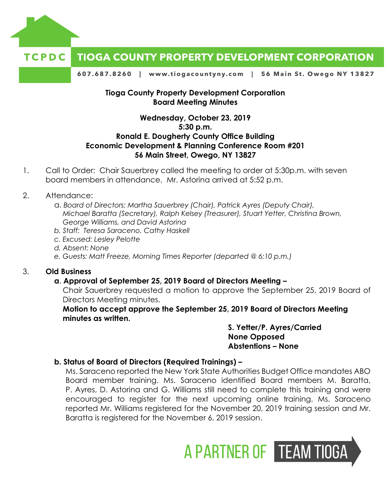

# **TIOGA COUNTY PROPERTY DEVELOPMENT CORPORATION**

607.687.8260 | www.tiogacountyny.com | 56 Main St. Owego NY 13827

#### **Tioga County Property Development Corporation Board Meeting Minutes**

# **Wednesday, October 23, 2019 5:30 p.m. Ronald E. Dougherty County Office Building Economic Development & Planning Conference Room #201 56 Main Street, Owego, NY 13827**

1. Call to Order: Chair Sauerbrey called the meeting to order at 5:30p.m. with seven board members in attendance. Mr. Astorina arrived at 5:52 p.m.

# 2. Attendance:

- a. *Board of Directors: Martha Sauerbrey (Chair), Patrick Ayres (Deputy Chair), Michael Baratta (Secretary), Ralph Kelsey (Treasurer), Stuart Yetter, Christina Brown, George Williams, and David Astorina*
- *b. Staff: Teresa Saraceno, Cathy Haskell*
- *c. Excused: Lesley Pelotte*
- *d. Absent: None*
- *e. Guests: Matt Freeze, Morning Times Reporter (departed @ 6:10 p.m.)*

# 3. **Old Business**

# **a**. **Approval of September 25, 2019 Board of Directors Meeting –**

Chair Sauerbrey requested a motion to approve the September 25, 2019 Board of Directors Meeting minutes.

**Motion to accept approve the September 25, 2019 Board of Directors Meeting minutes as written.** 

> **S. Yetter/P. Ayres/Carried None Opposed Abstentions – None**

# **b. Status of Board of Directors (Required Trainings) –**

Ms. Saraceno reported the New York State Authorities Budget Office mandates ABO Board member training. Ms. Saraceno identified Board members M. Baratta, P. Ayres, D. Astorina and G. Williams still need to complete this training and were encouraged to register for the next upcoming online training. Ms. Saraceno reported Mr. Williams registered for the November 20, 2019 training session and Mr. Baratta is registered for the November 6, 2019 session.

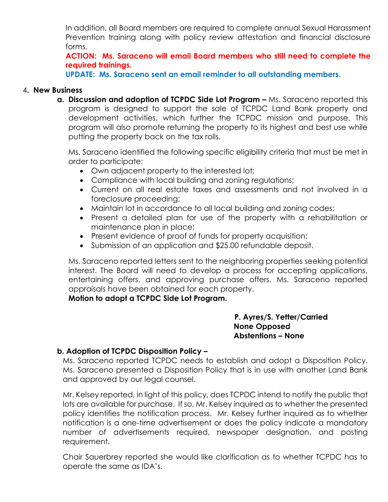In addition, all Board members are required to complete annual Sexual Harassment Prevention training along with policy review attestation and financial disclosure forms.

**ACTION: Ms. Saraceno will email Board members who still need to complete the required trainings.** 

**UPDATE: Ms. Saraceno sent an email reminder to all outstanding members.** 

#### 4**. New Business**

**a.** Discussion and adoption of TCPDC Side Lot Program – Ms. Saraceno reported this program is designed to support the sale of TCPDC Land Bank property and development activities, which further the TCPDC mission and purpose. This program will also promote returning the property to its highest and best use while putting the property back on the tax rolls.

Ms. Saraceno identified the following specific eligibility criteria that must be met in order to participate:

- Own adjacent property to the interested lot;
- Compliance with local building and zoning regulations;
- Current on all real estate taxes and assessments and not involved in a foreclosure proceeding;
- Maintain lot in accordance to all local building and zoning codes;
- Present a detailed plan for use of the property with a rehabilitation or maintenance plan in place;
- Present evidence of proof of funds for property acquisition;
- Submission of an application and \$25.00 refundable deposit.

Ms. Saraceno reported letters sent to the neighboring properties seeking potential interest. The Board will need to develop a process for accepting applications, entertaining offers, and approving purchase offers. Ms. Saraceno reported appraisals have been obtained for each property.

 **Motion to adopt a TCPDC Side Lot Program.**

#### **P. Ayres/S. Yetter/Carried None Opposed Abstentions – None**

# **b. Adoption of TCPDC Disposition Policy –**

Ms. Saraceno reported TCPDC needs to establish and adopt a Disposition Policy. Ms. Saraceno presented a Disposition Policy that is in use with another Land Bank and approved by our legal counsel.

Mr. Kelsey reported, in light of this policy, does TCPDC intend to notify the public that lots are available for purchase. If so, Mr. Kelsey inquired as to whether the presented policy identifies the notification process. Mr. Kelsey further inquired as to whether notification is a one-time advertisement or does the policy indicate a mandatory number of advertisements required, newspaper designation, and posting requirement.

Chair Sauerbrey reported she would like clarification as to whether TCPDC has to operate the same as IDA's.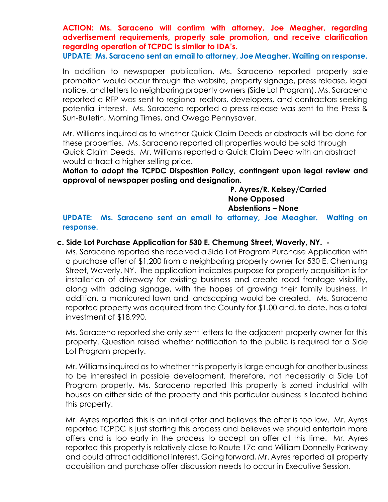**ACTION: Ms. Saraceno will confirm with attorney, Joe Meagher, regarding advertisement requirements, property sale promotion, and receive clarification regarding operation of TCPDC is similar to IDA's.** 

**UPDATE: Ms. Saraceno sent an email to attorney, Joe Meagher. Waiting on response.** 

In addition to newspaper publication, Ms. Saraceno reported property sale promotion would occur through the website, property signage, press release, legal notice, and letters to neighboring property owners (Side Lot Program). Ms. Saraceno reported a RFP was sent to regional realtors, developers, and contractors seeking potential interest. Ms. Saraceno reported a press release was sent to the Press & Sun-Bulletin, Morning Times, and Owego Pennysaver.

Mr. Williams inquired as to whether Quick Claim Deeds or abstracts will be done for these properties. Ms. Saraceno reported all properties would be sold through Quick Claim Deeds. Mr. Williams reported a Quick Claim Deed with an abstract would attract a higher selling price.

**Motion to adopt the TCPDC Disposition Policy, contingent upon legal review and approval of newspaper posting and designation.** 

> **P. Ayres/R. Kelsey/Carried None Opposed Abstentions – None**

**UPDATE: Ms. Saraceno sent an email to attorney, Joe Meagher. Waiting on response.** 

#### **c. Side Lot Purchase Application for 530 E. Chemung Street, Waverly, NY. -**

Ms. Saraceno reported she received a Side Lot Program Purchase Application with a purchase offer of \$1,200 from a neighboring property owner for 530 E. Chemung Street, Waverly, NY. The application indicates purpose for property acquisition is for installation of driveway for existing business and create road frontage visibility, along with adding signage, with the hopes of growing their family business. In addition, a manicured lawn and landscaping would be created. Ms. Saraceno reported property was acquired from the County for \$1.00 and, to date, has a total investment of \$18,990.

Ms. Saraceno reported she only sent letters to the adjacent property owner for this property. Question raised whether notification to the public is required for a Side Lot Program property.

Mr. Williams inquired as to whether this property is large enough for another business to be interested in possible development, therefore, not necessarily a Side Lot Program property. Ms. Saraceno reported this property is zoned industrial with houses on either side of the property and this particular business is located behind this property.

Mr. Ayres reported this is an initial offer and believes the offer is too low. Mr. Ayres reported TCPDC is just starting this process and believes we should entertain more offers and is too early in the process to accept an offer at this time. Mr. Ayres reported this property is relatively close to Route 17c and William Donnelly Parkway and could attract additional interest. Going forward, Mr. Ayres reported all property acquisition and purchase offer discussion needs to occur in Executive Session.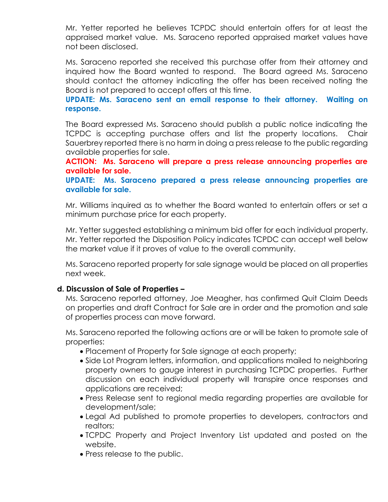Mr. Yetter reported he believes TCPDC should entertain offers for at least the appraised market value. Ms. Saraceno reported appraised market values have not been disclosed.

Ms. Saraceno reported she received this purchase offer from their attorney and inquired how the Board wanted to respond. The Board agreed Ms. Saraceno should contact the attorney indicating the offer has been received noting the Board is not prepared to accept offers at this time.

**UPDATE: Ms. Saraceno sent an email response to their attorney. Waiting on response.** 

The Board expressed Ms. Saraceno should publish a public notice indicating the TCPDC is accepting purchase offers and list the property locations. Chair Sauerbrey reported there is no harm in doing a press release to the public regarding available properties for sale.

**ACTION: Ms. Saraceno will prepare a press release announcing properties are available for sale.** 

**UPDATE: Ms. Saraceno prepared a press release announcing properties are available for sale.** 

Mr. Williams inquired as to whether the Board wanted to entertain offers or set a minimum purchase price for each property.

Mr. Yetter suggested establishing a minimum bid offer for each individual property. Mr. Yetter reported the Disposition Policy indicates TCPDC can accept well below the market value if it proves of value to the overall community.

Ms. Saraceno reported property for sale signage would be placed on all properties next week.

# **d. Discussion of Sale of Properties –**

Ms. Saraceno reported attorney, Joe Meagher, has confirmed Quit Claim Deeds on properties and draft Contract for Sale are in order and the promotion and sale of properties process can move forward.

Ms. Saraceno reported the following actions are or will be taken to promote sale of properties:

- Placement of Property for Sale signage at each property;
- Side Lot Program letters, information, and applications mailed to neighboring property owners to gauge interest in purchasing TCPDC properties. Further discussion on each individual property will transpire once responses and applications are received;
- Press Release sent to regional media regarding properties are available for development/sale;
- Legal Ad published to promote properties to developers, contractors and realtors;
- TCPDC Property and Project Inventory List updated and posted on the website.
- Press release to the public.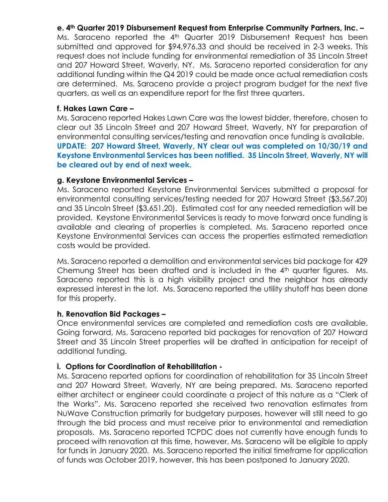# **e. 4th Quarter 2019 Disbursement Request from Enterprise Community Partners, Inc. –**

Ms. Saraceno reported the 4<sup>th</sup> Quarter 2019 Disbursement Request has been submitted and approved for \$94,976.33 and should be received in 2-3 weeks. This request does not include funding for environmental remediation of 35 Lincoln Street and 207 Howard Street, Waverly, NY. Ms. Saraceno reported consideration for any additional funding within the Q4 2019 could be made once actual remediation costs are determined. Ms. Saraceno provide a project program budget for the next five quarters, as well as an expenditure report for the first three quarters.

#### **f. Hakes Lawn Care –**

Ms. Saraceno reported Hakes Lawn Care was the lowest bidder, therefore, chosen to clear out 35 Lincoln Street and 207 Howard Street, Waverly, NY for preparation of environmental consulting services/testing and renovation once funding is available. **UPDATE: 207 Howard Street, Waverly, NY clear out was completed on 10/30/19 and Keystone Environmental Services has been notified. 35 Lincoln Street, Waverly, NY will be cleared out by end of next week.** 

#### **g. Keystone Environmental Services –**

Ms. Saraceno reported Keystone Environmental Services submitted a proposal for environmental consulting services/testing needed for 207 Howard Street (\$3,567.20) and 35 Lincoln Street (\$3,651.20). Estimated cost for any needed remediation will be provided. Keystone Environmental Services is ready to move forward once funding is available and clearing of properties is completed. Ms. Saraceno reported once Keystone Environmental Services can access the properties estimated remediation costs would be provided.

Ms. Saraceno reported a demolition and environmental services bid package for 429 Chemung Street has been drafted and is included in the 4<sup>th</sup> quarter figures. Ms. Saraceno reported this is a high visibility project and the neighbor has already expressed interest in the lot. Ms. Saraceno reported the utility shutoff has been done for this property.

# **h. Renovation Bid Packages –**

Once environmental services are completed and remediation costs are available. Going forward, Ms. Saraceno reported bid packages for renovation of 207 Howard Street and 35 Lincoln Street properties will be drafted in anticipation for receipt of additional funding.

#### **i. Options for Coordination of Rehabilitation -**

Ms. Saraceno reported options for coordination of rehabilitation for 35 Lincoln Street and 207 Howard Street, Waverly, NY are being prepared. Ms. Saraceno reported either architect or engineer could coordinate a project of this nature as a "Clerk of the Works". Ms. Saraceno reported she received two renovation estimates from NuWave Construction primarily for budgetary purposes, however will still need to go through the bid process and must receive prior to environmental and remediation proposals. Ms. Saraceno reported TCPDC does not currently have enough funds to proceed with renovation at this time, however, Ms. Saraceno will be eligible to apply for funds in January 2020. Ms. Saraceno reported the initial timeframe for application of funds was October 2019, however, this has been postponed to January 2020.